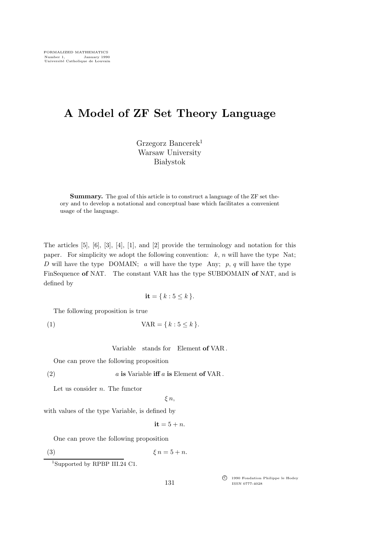# A Model of ZF Set Theory Language

Grzegorz Bancerek<sup>1</sup> Warsaw University **Białystok** 

Summary. The goal of this article is to construct a language of the ZF set theory and to develop a notational and conceptual base which facilitates a convenient usage of the language.

The articles [5], [6], [3], [4], [1], and [2] provide the terminology and notation for this paper. For simplicity we adopt the following convention:  $k$ ,  $n$  will have the type Nat; D will have the type DOMAIN; a will have the type Any;  $p, q$  will have the type FinSequence of NAT. The constant VAR has the type SUBDOMAIN of NAT, and is defined by

$$
\mathbf{it} = \{ k : 5 \le k \}.
$$

The following proposition is true

$$
(1) \t\text{VAR} = \{k : 5 \le k\}.
$$

Variable stands for Element of VAR .

One can prove the following proposition

$$
(2) \t a is Variable iff a is Element of VAR.
$$

Let us consider  $n$ . The functor

 $\xi$  n,

with values of the type Variable, is defined by

$$
it = 5 + n.
$$

One can prove the following proposition

(3)  $\xi n = 5 + n$ .

<sup>1</sup>Supported by RPBP III.24 C1.

c<sup>f</sup> 1990 Fondation Philippe le Hodey ISSN 0777-4028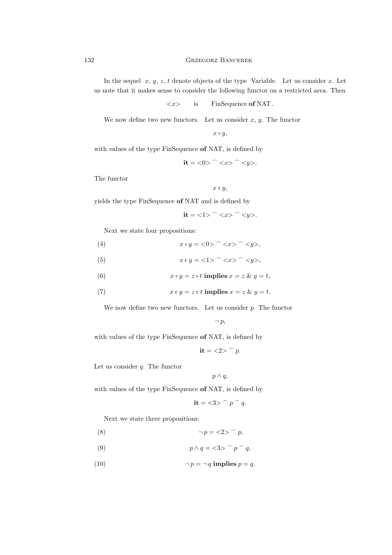In the sequel  $x, y, z, t$  denote objects of the type Variable. Let us consider x. Let us note that it makes sense to consider the following functor on a restricted area. Then

$$
\langle x \rangle
$$
 is FinSequence of NAT.

We now define two new functors. Let us consider  $x, y$ . The functor

$$
x \in y,
$$

with values of the type FinSequence of NAT, is defined by

$$
it = \langle 0 \rangle ^{-} \langle x \rangle ^{-} \langle y \rangle.
$$

The functor

$$
x \in y,
$$

yields the type FinSequence of NAT and is defined by

$$
it = \langle 1 \rangle ^{\frown} \langle x \rangle ^{\frown} \langle y \rangle.
$$

Next we state four propositions:

$$
(4) \t\t x = y = \langle 0 \rangle ^{-} \langle x \rangle ^{-} \langle y \rangle,
$$

(5)  $x \epsilon y = \langle 1 \rangle^{\frown} \langle x \rangle^{\frown} \langle y \rangle,$ 

(6) 
$$
x = y = z = t \text{ implies } x = z \& y = t,
$$

(7) 
$$
x \epsilon y = z \epsilon t \text{ implies } x = z \& y = t.
$$

We now define two new functors. Let us consider  $p$ . The functor

$$
\neg p,
$$

with values of the type FinSequence of NAT, is defined by

$$
it = \langle 2 \rangle ^{-} p.
$$

Let us consider  $q$ . The functor

$$
p\wedge q,
$$

with values of the type FinSequence of NAT, is defined by

$$
it = \langle 3 \rangle^{\frown} p^{\frown} q.
$$

Next we state three propositions:

- (8)  $\neg p = \langle 2 \rangle^p p$ ,
- (9)  $p \wedge q = \langle 3 \rangle^{\frown} p \cap q$ ,
- (10)  $\neg p = \neg q$  implies  $p = q$ .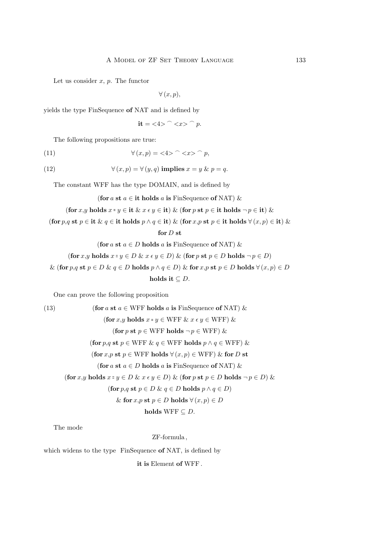Let us consider  $x, p$ . The functor

 $\forall (x, p),$ 

yields the type FinSequence of NAT and is defined by

$$
it = \langle 4 \rangle ^{^{\frown}} \langle x \rangle ^{^{\frown}} p.
$$

The following propositions are true:

(11) 
$$
\forall (x, p) = \langle 4 \rangle \cap \langle x \rangle \cap p,
$$

(12) 
$$
\forall (x, p) = \forall (y, q) \text{ implies } x = y \& p = q.
$$

The constant WFF has the type DOMAIN, and is defined by

(for a st  $a \in \text{it holds } a$  is FinSequence of NAT) &

$$
\left(\textbf{for } x, y \textbf{ holds } x \text{ = } y \in \textbf{it} \& x \in y \in \textbf{it}\right) \& \left(\textbf{for } p \textbf{ st } p \in \textbf{it} \textbf{ holds } \neg p \in \textbf{it}\right) \&
$$

(for  $p,q$  st  $p \in \text{it\& } q \in \text{it holds } p \land q \in \text{it)} \&$  (for  $x,p$  st  $p \in \text{it holds } \forall (x,p) \in \text{it)} \&$ 

for  $D$  st

(for a st  $a \in D$  holds a is FinSequence of NAT) &

$$
(\text{for } x, y \text{ holds } x \in y \in D \& x \in y \in D) \& (\text{for } p \text{ st } p \in D \text{ holds } \neg p \in D)
$$
  
& 
$$
(\text{for } p, q \text{ st } p \in D \& q \in D \text{ holds } p \land q \in D) \& \text{for } x, p \text{ st } p \in D \text{ holds } \forall (x, p) \in D
$$
  

$$
\text{holds } \text{it } \subseteq D.
$$

One can prove the following proposition

(13) **(for** *a* **st** *a* 
$$
\in
$$
 WFF holds *a* **is** FinSequence of NAT) *&*  
\n**(for** *x*, *y* **holds** *x* = *y*  $\in$  WFF *& x*  $\in$  *y*  $\in$  WFF) *&*  
\n**(for** *p*, *q* **st** *p*  $\in$  WFF holds  $\neg p \in$  WFF) *&*  
\n**(for** *x*, *p* **st** *p*  $\in$  WFF holds  $\forall$  (*x*, *p*)  $\in$  WFF) *&* **for** *D* **st**  
\n**(for** *x*, *p* **st** *p*  $\in$  WFF holds  $\forall$  (*x*, *p*)  $\in$  WFF) *&* **for** *D* **st**  
\n**(for** *a* **st** *a*  $\in$  *D* **holds** *a* **is** FinSequence of NAT) *&*  
\n**(for** *x*, *y* **holds** *x* = *y*  $\in$  *D & x*  $\in$  *y*  $\in$  *D*) *&* **(for** *p*, *q* **st** *p*  $\in$  *D* **holds** *p*  $\land$  *q*  $\in$  *D)  
\n**& (for** *x*, *p* **st** *p*  $\in$  *D* **holds** *p*  $\land$  *q** 

The mode

ZF-formula ,

which widens to the type FinSequence of NAT, is defined by

it is Element of WFF .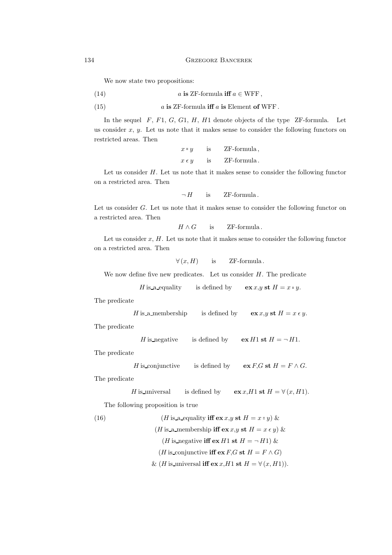We now state two propositions:

(14) 
$$
a
$$
 is ZF-formula iff  $a \in \text{WFF}$ ,

(15) 
$$
a
$$
 is ZF-formula iff  $a$  is Element of WFF.

In the sequel  $F$ ,  $F1$ ,  $G$ ,  $G1$ ,  $H$ ,  $H1$  denote objects of the type  $ZF$ -formula. Let us consider  $x, y$ . Let us note that it makes sense to consider the following functors on restricted areas. Then

> $x = y$ is ZF-formula,  $x \in y$  is ZF-formula.

Let us consider  $H$ . Let us note that it makes sense to consider the following functor on a restricted area. Then

 $\neg H$  is ZF-formula.

Let us consider G. Let us note that it makes sense to consider the following functor on a restricted area. Then

 $H \wedge G$  is ZF-formula.

Let us consider  $x$ ,  $H$ . Let us note that it makes sense to consider the following functor on a restricted area. Then

 $\forall (x, H)$  is ZF-formula.

We now define five new predicates. Let us consider  $H$ . The predicate

*H* is a-equality is defined by 
$$
\mathbf{ex} x, y \mathbf{st} H = x = y
$$
.

The predicate

*H* is a membership is defined by 
$$
\operatorname{ex} x, y \operatorname{st} H = x \epsilon y
$$
.

The predicate

H is negative is defined by  $\mathbf{ex} H1 \mathbf{st} H = \neg H1$ .

The predicate

*H* is conjunctive is defined by 
$$
\operatorname{ex} F, G \operatorname{st} H = F \wedge G
$$
.

The predicate

*H* is universal is defined by 
$$
\mathbf{ex} x, H1 \mathbf{st} H = \forall (x, H1)
$$
.

The following proposition is true

(16) 
$$
(H \text{ is a-equality iff } \mathbf{ex} x, y \text{ st } H = x = y) \&
$$

$$
(H \text{ is a membership iff } \mathbf{ex} x, y \text{ st } H = x \epsilon y) \&
$$

$$
(H \text{ is-negative iff } \mathbf{ex} H1 \text{ st } H = \neg H1) \&
$$

$$
(H \text{ is-conjunctive iff } \mathbf{ex} F, G \text{ st } H = F \wedge G)
$$

$$
\& (H \text{ is-universal iff } \mathbf{ex} x, H1 \text{ st } H = \forall (x, H1)).
$$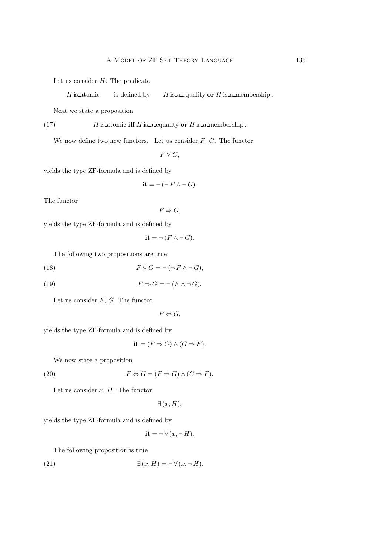Let us consider  $H$ . The predicate

 $H$  is atomic is defined by  $H$  is a equality or  $H$  is a membership.

Next we state a proposition

(17)  $H$  is atomic iff H is a equality or H is a membership.

We now define two new functors. Let us consider  $F, G$ . The functor

 $F \vee G$ ,

yields the type ZF-formula and is defined by

$$
\mathbf{it} = \neg(\neg F \land \neg G).
$$

The functor

 $F \Rightarrow G,$ 

yields the type ZF-formula and is defined by

$$
it = \neg (F \land \neg G).
$$

The following two propositions are true:

(18) 
$$
F \vee G = \neg(\neg F \wedge \neg G),
$$

(19) 
$$
F \Rightarrow G = \neg (F \land \neg G).
$$

Let us consider  $F, G$ . The functor

 $F \Leftrightarrow G$ ,

yields the type ZF-formula and is defined by

$$
it = (F \Rightarrow G) \land (G \Rightarrow F).
$$

We now state a proposition

(20) 
$$
F \Leftrightarrow G = (F \Rightarrow G) \land (G \Rightarrow F).
$$

Let us consider  $x$ ,  $H$ . The functor

$$
\exists (x, H),
$$

yields the type ZF-formula and is defined by

$$
it = \neg \forall (x, \neg H).
$$

The following proposition is true

(21) 
$$
\exists (x, H) = \neg \forall (x, \neg H).
$$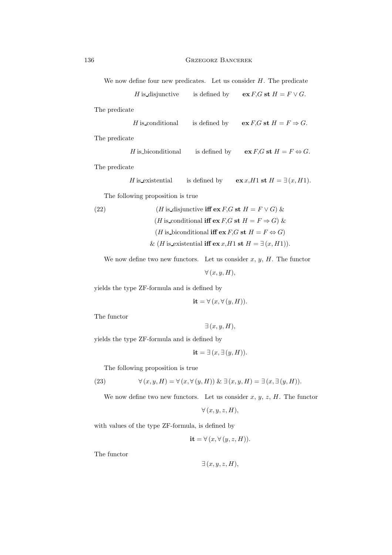We now define four new predicates. Let us consider  $H$ . The predicate

$$
H\,\text{is-disjunctive}\qquad\text{is defined by}\qquad \mathbf{ex}\,F\hskip-.7pt,G\,\,\mathbf{st}\,\,H=F\vee G.
$$
   
predicate

$$
H \hbox{ is conditional} \qquad \hbox{is defined by} \qquad \hbox{ex $F, G$ s.t $H = F \Rightarrow G$}.
$$
 The predicate

*H* is-biconditional is defined by 
$$
\operatorname{ex} F, G \operatorname{st} H = F \Leftrightarrow G
$$
.

The predicate

*H* is existential is defined by 
$$
\mathbf{ex} x, H1 \mathbf{st} H = \exists (x, H1)
$$
.

The following proposition is true

(22) 
$$
(H \text{ is-disjunctive iff } \mathbf{ex} F, G \text{ st } H = F \vee G) \&
$$

$$
(H \text{ is-conditional iff } \mathbf{ex} F, G \text{ st } H = F \Rightarrow G) \&
$$

$$
(H \text{ is-biconditional iff } \mathbf{ex} F, G \text{ st } H = F \Leftrightarrow G)
$$

$$
\& (H \text{ is-existential iff } \mathbf{ex} x, H1 \text{ st } H = \exists (x, H1)).
$$

We now define two new functors. Let us consider  $x, y, H$ . The functor

$$
\forall (x, y, H),
$$

yields the type ZF-formula and is defined by

$$
\mathbf{it} = \forall (x, \forall (y, H)).
$$

The functor

$$
\exists (x, y, H),
$$

yields the type ZF-formula and is defined by

$$
it = \exists (x, \exists (y, H)).
$$

The following proposition is true

(23) 
$$
\forall (x, y, H) = \forall (x, \forall (y, H)) \& \exists (x, y, H) = \exists (x, \exists (y, H)).
$$

We now define two new functors. Let us consider  $x, y, z, H$ . The functor

$$
\forall (x, y, z, H),
$$

with values of the type ZF-formula, is defined by

$$
\mathbf{it} = \forall (x, \forall (y, z, H)).
$$

The functor

$$
\exists (x, y, z, H),
$$

The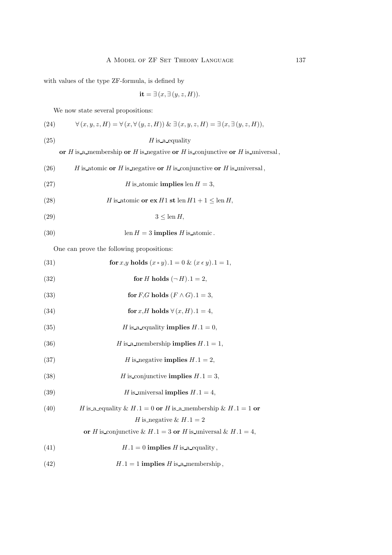with values of the type ZF-formula, is defined by

$$
it = \exists (x, \exists (y, z, H)).
$$

We now state several propositions:

(24) 
$$
\forall (x, y, z, H) = \forall (x, \forall (y, z, H)) \& \exists (x, y, z, H) = \exists (x, \exists (y, z, H)),
$$

(25) H is a equality

or  $H$  is a membership or  $H$  is negative or  $H$  is conjunctive or  $H$  is universal,

(26) 
$$
H
$$
 is atomic or  $H$  is negative or  $H$  is conjunctive or  $H$  is-universal,

- (27)  $H$  is atomic implies len  $H = 3$ ,
- (28)  $H$  is atomic or  $ex H1$  st len  $H1 + 1 \leq$  len  $H$ ,

$$
(29) \t\t\t 3 \le \text{len } H,
$$

(30) 
$$
\operatorname{len} H = 3 \text{ implies } H \text{ is atomic.}
$$

One can prove the following propositions:

| (31) | for x,y holds $(x = y) \cdot 1 = 0 \& (x \in y) \cdot 1 = 1$ , |
|------|----------------------------------------------------------------|
| (32) | for H holds $(\neg H).1 = 2$ ,                                 |
| (33) | for F,G holds $(F \wedge G) \cdot 1 = 3$ ,                     |

(34) **for** 
$$
x, H
$$
 holds  $\forall (x, H).1 = 4$ ,

- (35)  $H$  is a equality implies  $H \cdot 1 = 0$ ,
- (36)  $H$  is a membership implies  $H \cdot 1 = 1$ ,
- (37)  $H$  is negative implies  $H \cdot 1 = 2$ ,
- (38)  $H$  is conjunctive implies  $H \cdot 1 = 3$ ,
- (39)  $H$  is universal implies  $H \cdot 1 = 4$ ,

(40) *H* is a equality 
$$
\& H.1 = 0
$$
 or *H* is a membership  $\& H.1 = 1$  or

# H is negative & H.1 = 2

- or *H* is conjunctive & *H*.1 = 3 or *H* is universal & *H*.1 = 4,
- (41)  $H.1 = 0$  implies H is a equality,
- (42)  $H.1 = 1$  implies  $H$  is a membership,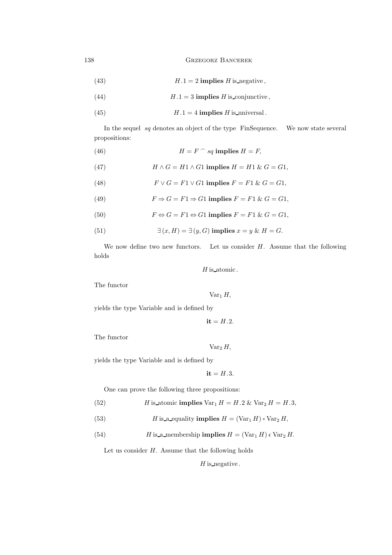(43) 
$$
H.1 = 2 \text{ implies } H \text{ is negative},
$$

- (44)  $H.1 = 3$  implies H is conjunctive,
- (45)  $H.1 = 4$  implies H is universal.

In the sequel  $sq$  denotes an object of the type  $\overline{\text{Fin}\text{Sequence}}$ . We now state several propositions:

(46)  $H = F \cap sq \text{ implies } H = F$ ,

(47) 
$$
H \wedge G = H1 \wedge G1 \text{ implies } H = H1 \& G = G1,
$$

(48) 
$$
F \vee G = F1 \vee G1 \text{ implies } F = F1 \& G = G1,
$$

(49) 
$$
F \Rightarrow G = F1 \Rightarrow G1 \text{ implies } F = F1 \& G = G1,
$$

(50) 
$$
F \Leftrightarrow G = F1 \Leftrightarrow G1 \text{ implies } F = F1 \& G = G1,
$$

(51) 
$$
\exists (x, H) = \exists (y, G) \text{ implies } x = y \& H = G.
$$

We now define two new functors. Let us consider  $H$ . Assume that the following holds

 ${\cal H}$  is atomic .

The functor

 $Var_1 H$ ,

yields the type Variable and is defined by

$$
\mathbf{it} = H.2.
$$

The functor

 $Var_2 H$ ,

yields the type Variable and is defined by

 $it = H.3.$ 

One can prove the following three propositions:

(52) 
$$
H \text{ is atomic implies } \text{Var}_1 H = H.2 \& \text{Var}_2 H = H.3,
$$

(53) 
$$
H \t{is a equality implies } H = (\text{Var}_1 H) = \text{Var}_2 H,
$$

(54) *H* is a membership **implies** 
$$
H = (\text{Var}_1 H) \epsilon \text{Var}_2 H
$$
.

Let us consider  $H$ . Assume that the following holds

 $H$  is negative.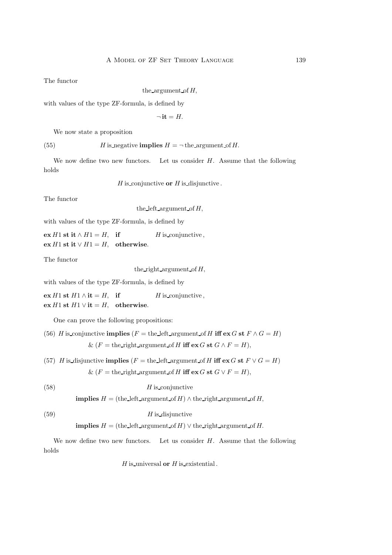The functor

#### the argument of  $H$ ,

with values of the type ZF-formula, is defined by

$$
\neg\,\mathbf{it}=H.
$$

We now state a proposition

(55) H is negative **implies**  $H = \neg$  the argument of H.

We now define two new functors. Let us consider  $H$ . Assume that the following holds

 $H$  is conjunctive or  $H$  is disjunctive.

The functor

the left argument of  $H$ ,

with values of the type ZF-formula, is defined by

ex *H*1 st it ∧ *H*1 = *H*, if H is conjunctive, ex *H*1 st it  $∨$  *H*1 = *H*, otherwise.

The functor

the right argument of  $H$ ,

with values of the type ZF-formula, is defined by

ex *H*1 st *H*1 ∧ it = *H*, if H is conjunctive, ex *H*1 st *H*1 ∨ it = *H*, otherwise.

One can prove the following propositions:

- (56) H is conjunctive implies (F = the left argument of H iff ex G st  $F \wedge G = H$ ) &  $(F =$  the right argument of H iff  $ex G$  st  $G \wedge F = H$ ),
- (57) H is disjunctive **implies**  $(F = \text{the left argument of } H \text{ iff } \text{ex } G \text{ st } F \vee G = H)$ &  $(F =$  the right argument of H iff  $ex G$  st  $G \vee F = H$ ).

(58) H is conjunctive

**implies**  $H =$  (the left argument of H)  $\wedge$  the right argument of H,

```
(H \text{ is-disjunctive})
```

```
implies H = (the left argument of H) \vee the right argument of H.
```
We now define two new functors. Let us consider  $H$ . Assume that the following holds

 $H$  is universal or  $H$  is existential.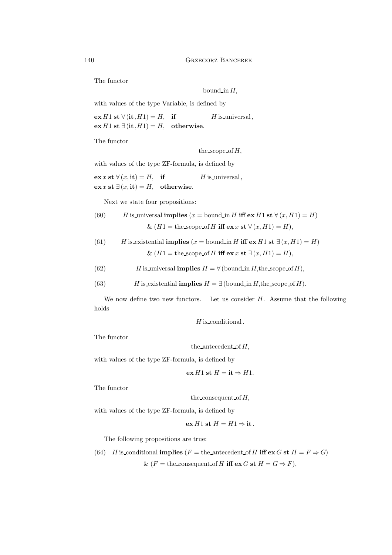The functor

bound in  $H$ ,

with values of the type Variable, is defined by

 $ex H1$  st  $\forall$  (it ,  $H1$ ) =  $H$ , if H is universal, ex *H*1 st ∃(it, *H*1) = *H*, otherwise.

The functor

the\_scope\_of  $H$ ,

with values of the type ZF-formula, is defined by

 $\mathbf{ex} x \mathbf{st} \ \forall (x, \mathbf{it}) = H, \quad \text{if} \quad H \text{ is universal},$  $\mathbf{ex} x \mathbf{st} \exists (x, \mathbf{it}) = H$ , otherwise.

Next we state four propositions:

(60) *H* is-universal **implies** 
$$
(x = \text{bound_in } H \text{ iff } \text{ex } H1 \text{ st } \forall (x, H1) = H)
$$
  
  $\& (H1 = \text{the scope of } H \text{ iff } \text{ex } x \text{ st } \forall (x, H1) = H),$ 

(61) *H* is-existential **implies** 
$$
(x = \text{bound_in } H \text{ iff } \text{ex } H1 \text{ st } \exists (x, H1) = H)
$$
  
 $\& (H1 = \text{the\_scope\_of } H \text{ iff } \text{ex } x \text{ st } \exists (x, H1) = H),$ 

(62) *H* is-universal **implies** 
$$
H = \forall
$$
 (bound\_in *H*, the scope of *H*),

(63) *H* is existential **implies** 
$$
H = \exists
$$
 (bound\_in *H*, the scope of *H*).

We now define two new functors. Let us consider  $H$ . Assume that the following holds

 $H$  is conditional.

The functor

the antecedent of  $H$ ,

with values of the type ZF-formula, is defined by

$$
\mathbf{ex}\,H1\,\mathbf{st}\,H=\mathbf{it}\Rightarrow H1.
$$

The functor

the consequent of  $H$ ,

with values of the type ZF-formula, is defined by

$$
ex H1 st H = H1 \Rightarrow it.
$$

The following propositions are true:

(64) *H* is-conditional **implies** (
$$
F
$$
 = the-antecedent\_of *H* **iff ex** *G* **st** *H* =  $F \Rightarrow G$ )\n
$$
\& (F = \text{the-consequent_of } H \text{ iff} \text{ ex } G \text{ st } H = G \Rightarrow F),
$$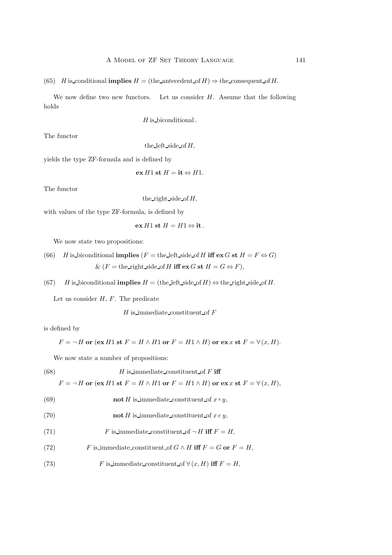(65) H is conditional **implies**  $H =$  (the antecedent of  $H$ )  $\Rightarrow$  the consequent of H.

We now define two new functors. Let us consider  $H$ . Assume that the following holds

 $H$  is biconditional.

The functor

the left side of  $H$ ,

yields the type ZF-formula and is defined by

 $ex H1$  st  $H = it \Leftrightarrow H1$ .

The functor

the right side of  $H$ ,

with values of the type ZF-formula, is defined by

$$
ex H1 st H = H1 \Leftrightarrow it.
$$

We now state two propositions:

(66) *H* is-biconditional **implies** 
$$
(F = \text{the-left\_side\_of } H \text{ iff } \text{ex } G \text{ st } H = F \Leftrightarrow G)
$$
  
 $\& (F = \text{the-right\_side\_of } H \text{ iff } \text{ex } G \text{ st } H = G \Leftrightarrow F),$ 

(67) H is biconditional **implies**  $H =$  (the left side of H)  $\Leftrightarrow$  the right side of H.

Let us consider  $H, F$ . The predicate

 $H$  is immediate constituent of  $F$ 

is defined by

$$
F = \neg H
$$
 or  $(ex H1 st F = H \land H1 or F = H1 \land H)$  or  $ex x st F = \forall (x, H)$ .

We now state a number of propositions:

(68) 
$$
H
$$
 is immediate-constituent of  $F$  iff

 $F = \neg H$  or  $(\mathbf{ex}\ H1$  st  $F = H \wedge H1$  or  $F = H1 \wedge H$ ) or  $\mathbf{ex}\ x$  st  $F = \forall (x, H)$ ,

(69) **not** 
$$
H
$$
 is immediate-constituent of  $x = y$ ,

(70) **not** 
$$
H
$$
 is immediate constituent of  $x \in y$ ,

- (71)  $F$  is immediate constituent of  $\neg H$  iff  $F = H$ ,
- (72) F is immediate constituent of  $G \wedge H$  iff  $F = G$  or  $F = H$ ,
- (73) F is immediate constituent of  $\forall (x, H)$  iff  $F = H$ ,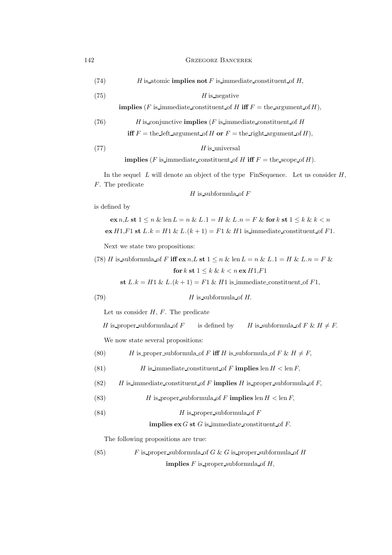(74)  $H$  is atomic **implies not** F is immediate constituent of H,

(75) H is negative

**implies** (F is immediate constituent of H iff  $F =$  the argument of H),

(76) 
$$
H
$$
 is-conjunctive **implies** ( $F$  is immediate-constituent of  $H$ 

**iff**  $F =$  the left argument of H or  $F =$  the right argument of H),

(77) H is universal

implies (F is immediate constituent of H iff  $F =$  the scope of H).

In the sequel  $L$  will denote an object of the type FinSequence. Let us consider  $H$ , F. The predicate

 $H$  is subformula of  $F$ 

is defined by

$$
\mathbf{ex}\,n,L\,\mathbf{st}\,1 \le n\,\&\,\text{len}\,L = n\,\&\,L.1 = H\,\&\,L.n = F\,\&\,\mathbf{for}\,k\,\mathbf{st}\,1 \le k\,\&\,k < n
$$
\n
$$
\mathbf{ex}\,H1,F1\,\mathbf{st}\,L.k = H1\,\&\,L.(k+1) = F1\,\&\,H1\,\text{is}\,\text{immediate}\,\text{constituent}\,\text{of}\,F1.
$$

Next we state two propositions:

(78) *H* is subformula of *F* iff 
$$
\operatorname{ex} n
$$
, *L* st  $1 \le n \&$  len *L* = *n* & *L*.1 = *H* & *L*.*n* = *F* &  
for *k* st  $1 \le k \&$  *k*  $\lt$  *n* ex *H*1,*F*1

st  $L.k = H1 \& L.(k + 1) = F1 \& H1$  is immediate constituent of  $F1$ ,

(79) H is subformula of H.

Let us consider  $H, F$ . The predicate

H is proper subformula of F is defined by H is subformula of  $F \& H \neq F$ .

We now state several propositions:

(80) *H* is proper subformula of *F* iff *H* is subformula of *F* & 
$$
H \neq F
$$
,

(81) 
$$
H
$$
 is immediate-constituent of  $F$  implies len  $H$  < lenmath>F,

(82)  $H$  is immediate constituent of F implies H is proper subformula of F,

(83) 
$$
H \text{ is proper subformula of } F \text{ implies } \text{len } H < \text{len } F,
$$

(84) H is proper subformula of F

## implies  $ex G$  st  $G$  is immediate constituent of  $F$ .

The following propositions are true:

(85) 
$$
F
$$
 is proper subformula of  $G$  &  $G$  is proper subformula of  $H$  implies  $F$  is proper subformula of  $H$ ,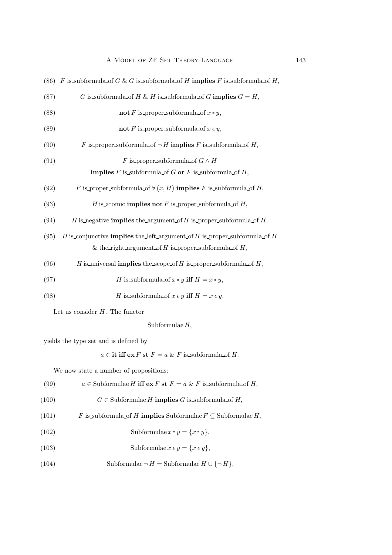| (86) | F is subformula of G & G is subformula of H implies F is subformula of H,        |  |  |
|------|----------------------------------------------------------------------------------|--|--|
| (87) | G is subformula of H & H is subformula of G implies $G = H$ ,                    |  |  |
| (88) | not F is proper subformula of $x = y$ ,                                          |  |  |
| (89) | not F is proper subformula of $x \in y$ ,                                        |  |  |
| (90) | F is proper subformula of $\neg H$ implies F is subformula of H,                 |  |  |
| (91) | F is proper subformula of $G \wedge H$                                           |  |  |
|      | <b>implies</b> F is subformula of G or F is subformula of H,                     |  |  |
| (92) | F is proper subformula of $\forall (x, H)$ implies F is subformula of H,         |  |  |
| (93) | H is atomic <b>implies not</b> F is proper subformula of H,                      |  |  |
| (94) | H is negative <b>implies</b> the argument of H is proper subformula of H,        |  |  |
| (95) | H is conjunctive <b>implies</b> the left argument of H is proper subformula of H |  |  |
|      | & the right argument of H is proper subformula of H,                             |  |  |
| (96) | H is universal <b>implies</b> the scope of H is proper subformula of H,          |  |  |
| (97) | H is subformula of $x = y$ iff $H = x = y$ ,                                     |  |  |
| (98) | H is subformula of $x \in y$ iff $H = x \in y$ .                                 |  |  |
|      |                                                                                  |  |  |

Let us consider  $H$ . The functor

Subformulae  $H$ ,

yields the type set and is defined by

 $a \in \text{it iff } \text{ex } F \text{ st } F = a \& F \text{ is subformula of } H.$ 

We now state a number of propositions:

(99) 
$$
a \in
$$
 Subformulae *H* iff ex *F* st *F* =  $a \& F$  is subformula of *H*,

(100) 
$$
G \in \text{Subformulae } H \text{ implies } G \text{ is subformula of } H,
$$

(101) 
$$
F \text{ is subformula of } H \text{ implies Subformulae } F \subseteq \text{Subformulae } H,
$$

(102) Subformulae 
$$
x = y = \{x = y\},\
$$

(103) Subformulae 
$$
x \in y = \{x \in y\},\
$$

(104) Subformulae  $\neg H =$  Subformulae  $H \cup \{\neg H\}$ ,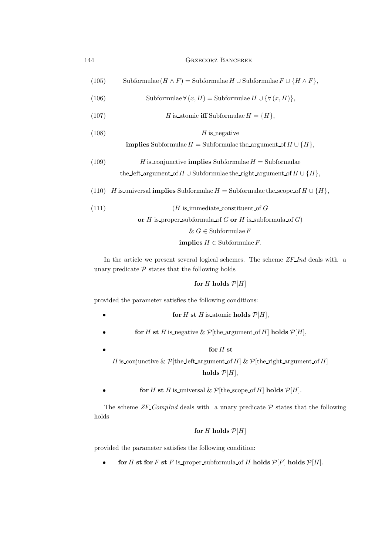| 144 | <b>GRZEGORZ BANCEREK</b> |  |
|-----|--------------------------|--|
|     |                          |  |

```
(105) Subformulae (H \wedge F) = Subformulae H \cup Subformulae F \cup \{H \wedge F\},\
```
(106) Subformulae 
$$
\forall (x, H) =
$$
 Subformulae  $H \cup \{\forall (x, H)\},$ 

(107)  $H$  is atomic iff Subformulae  $H = \{H\},\$ 

(108) H is negative

implies Subformulae 
$$
H
$$
 = Subformulae the argument of  $H \cup \{H\}$ ,

(109) *H* is conjunctive **implies** Subformulae 
$$
H =
$$
 Subformulae  
the left-argument of  $H \cup$  Subformulae the right-argument of  $H \cup \{H\}$ ,

(110) H is universal **implies** Subformulae  $H =$  Subformulae the scope of  $H \cup \{H\}$ ,

(111)  $(H \text{ is immediate constituent of } G)$ 

or  $H$  is proper subformula of  $G$  or  $H$  is subformula of  $G$ )

$$
\& G \in \text{Subformulae } F
$$

**implies**  $H \in$  Subformulae  $F$ .

In the article we present several logical schemes. The scheme ZF Ind deals with a unary predicate  $P$  states that the following holds

### for H holds  $P[H]$

provided the parameter satisfies the following conditions:

- for H st H is atomic holds  $\mathcal{P}[H]$ ,
- for H st H is negative &  $\mathcal{P}$ [the argument of H] holds  $\mathcal{P}[H]$ ,
- for  $H$  st H is conjunctive &  $\mathcal{P}$ [the\_left\_argument\_of H] &  $\mathcal{P}$ [the\_right\_argument\_of H] holds  $P[H]$ ,

for H st H is universal &  $\mathcal{P}[\text{the scope of } H]$  holds  $\mathcal{P}[H]$ .

The scheme  $ZF\_Complnd$  deals with a unary predicate  $\mathcal P$  states that the following holds

# for H holds  $P[H]$

provided the parameter satisfies the following condition:

• for H st for F st F is proper subformula of H holds  $\mathcal{P}[F]$  holds  $\mathcal{P}[H]$ .